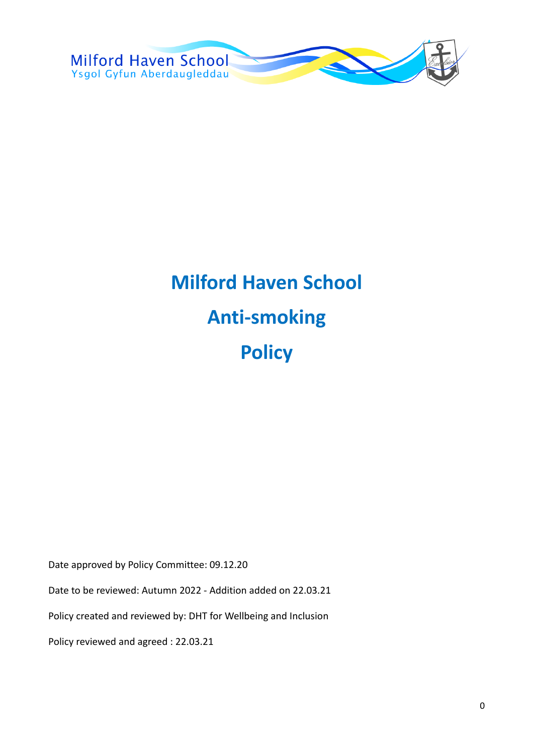

# **Milford Haven School Anti-smoking Policy**

Date approved by Policy Committee: 09.12.20

Date to be reviewed: Autumn 2022 - Addition added on 22.03.21

Policy created and reviewed by: DHT for Wellbeing and Inclusion

Policy reviewed and agreed : 22.03.21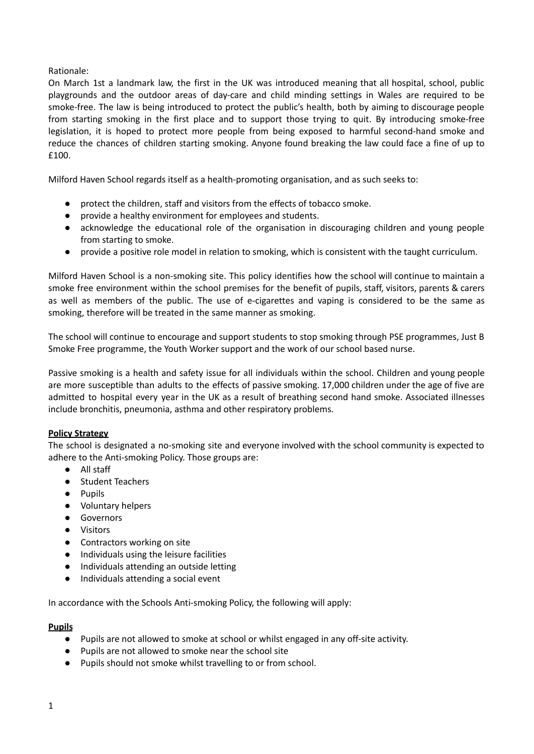# Rationale:

On March 1st a landmark law, the first in the UK was introduced meaning that all hospital, school, public playgrounds and the outdoor areas of day-care and child minding settings in Wales are required to be smoke-free. The law is being introduced to protect the public's health, both by aiming to discourage people from starting smoking in the first place and to support those trying to quit. By introducing smoke-free legislation, it is hoped to protect more people from being exposed to harmful second-hand smoke and reduce the chances of children starting smoking. Anyone found breaking the law could face a fine of up to £100.

Milford Haven School regards itself as a health-promoting organisation, and as such seeks to:

- protect the children, staff and visitors from the effects of tobacco smoke.
- provide a healthy environment for employees and students.
- acknowledge the educational role of the organisation in discouraging children and young people from starting to smoke.
- provide a positive role model in relation to smoking, which is consistent with the taught curriculum.

Milford Haven School is a non-smoking site. This policy identifies how the school will continue to maintain a smoke free environment within the school premises for the benefit of pupils, staff, visitors, parents & carers as well as members of the public. The use of e-cigarettes and vaping is considered to be the same as smoking, therefore will be treated in the same manner as smoking.

The school will continue to encourage and support students to stop smoking through PSE programmes, Just B Smoke Free programme, the Youth Worker support and the work of our school based nurse.

Passive smoking is a health and safety issue for all individuals within the school. Children and young people are more susceptible than adults to the effects of passive smoking. 17,000 children under the age of five are admitted to hospital every year in the UK as a result of breathing second hand smoke. Associated illnesses include bronchitis, pneumonia, asthma and other respiratory problems.

# **Policy Strategy**

The school is designated a no-smoking site and everyone involved with the school community is expected to adhere to the Anti-smoking Policy. Those groups are:

- All staff
- Student Teachers
- Pupils
- Voluntary helpers
- Governors
- Visitors
- Contractors working on site
- Individuals using the leisure facilities
- Individuals attending an outside letting
- Individuals attending a social event

In accordance with the Schools Anti-smoking Policy, the following will apply:

# **Pupils**

- Pupils are not allowed to smoke at school or whilst engaged in any off-site activity.
- Pupils are not allowed to smoke near the school site
- Pupils should not smoke whilst travelling to or from school.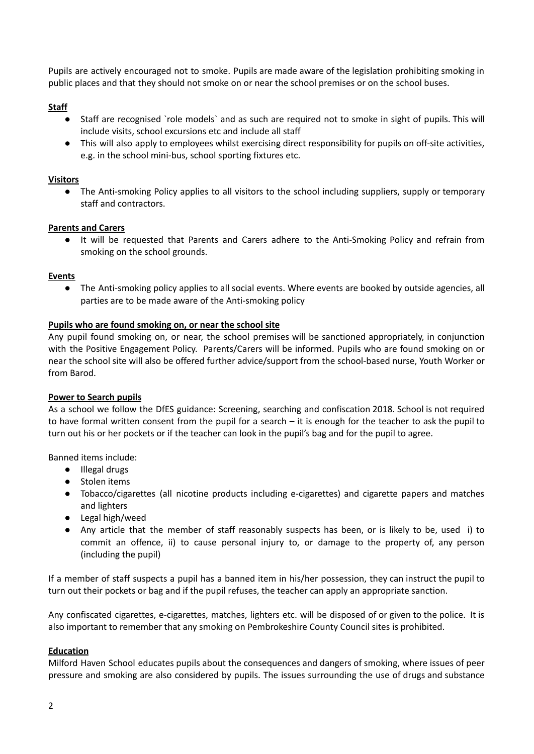Pupils are actively encouraged not to smoke. Pupils are made aware of the legislation prohibiting smoking in public places and that they should not smoke on or near the school premises or on the school buses.

# **Staff**

- Staff are recognised `role models` and as such are required not to smoke in sight of pupils. This will include visits, school excursions etc and include all staff
- This will also apply to employees whilst exercising direct responsibility for pupils on off-site activities, e.g. in the school mini-bus, school sporting fixtures etc.

# **Visitors**

● The Anti-smoking Policy applies to all visitors to the school including suppliers, supply or temporary staff and contractors.

# **Parents and Carers**

● It will be requested that Parents and Carers adhere to the Anti-Smoking Policy and refrain from smoking on the school grounds.

# **Events**

● The Anti-smoking policy applies to all social events. Where events are booked by outside agencies, all parties are to be made aware of the Anti-smoking policy

# **Pupils who are found smoking on, or near the school site**

Any pupil found smoking on, or near, the school premises will be sanctioned appropriately, in conjunction with the Positive Engagement Policy. Parents/Carers will be informed. Pupils who are found smoking on or near the school site will also be offered further advice/support from the school-based nurse, Youth Worker or from Barod.

# **Power to Search pupils**

As a school we follow the DfES guidance: Screening, searching and confiscation 2018. School is not required to have formal written consent from the pupil for a search – it is enough for the teacher to ask the pupil to turn out his or her pockets or if the teacher can look in the pupil's bag and for the pupil to agree.

Banned items include:

- Illegal drugs
- Stolen items
- Tobacco/cigarettes (all nicotine products including e-cigarettes) and cigarette papers and matches and lighters
- Legal high/weed
- Any article that the member of staff reasonably suspects has been, or is likely to be, used i) to commit an offence, ii) to cause personal injury to, or damage to the property of, any person (including the pupil)

If a member of staff suspects a pupil has a banned item in his/her possession, they can instruct the pupil to turn out their pockets or bag and if the pupil refuses, the teacher can apply an appropriate sanction.

Any confiscated cigarettes, e-cigarettes, matches, lighters etc. will be disposed of or given to the police. It is also important to remember that any smoking on Pembrokeshire County Council sites is prohibited.

# **Education**

Milford Haven School educates pupils about the consequences and dangers of smoking, where issues of peer pressure and smoking are also considered by pupils. The issues surrounding the use of drugs and substance